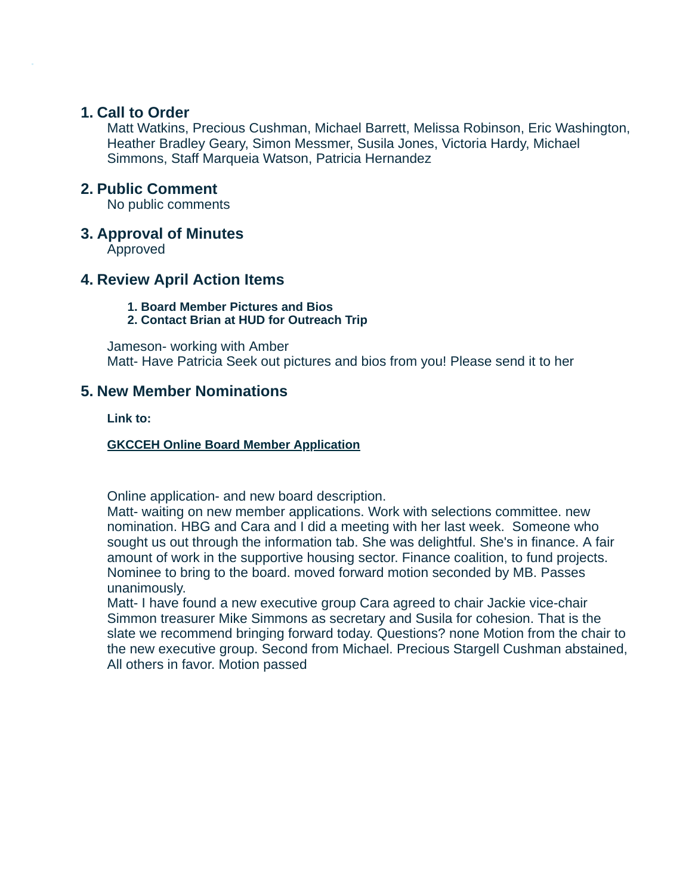## **1. Call to Order**

Matt Watkins, Precious Cushman, Michael Barrett, Melissa Robinson, Eric Washington, Heather Bradley Geary, Simon Messmer, Susila Jones, Victoria Hardy, Michael Simmons, Staff Marqueia Watson, Patricia Hernandez

## **2. Public Comment**

No public comments

## **3. Approval of Minutes**

Approved

# **4. Review April Action Items**

**1. Board Member Pictures and Bios**

**2. Contact Brian at HUD for Outreach Trip**

Jameson- working with Amber Matt- Have Patricia Seek out pictures and bios from you! Please send it to her

## **5. New Member Nominations**

**Link to:**

**GKCCEH Online Board Member [Application](https://forms.gle/xedjrAXsYUaVXJCq8)**

Online application- and new board description.

Matt- waiting on new member applications. Work with selections committee. new nomination. HBG and Cara and I did a meeting with her last week. Someone who sought us out through the information tab. She was delightful. She's in finance. A fair amount of work in the supportive housing sector. Finance coalition, to fund projects. Nominee to bring to the board. moved forward motion seconded by MB. Passes unanimously.

Matt- I have found a new executive group Cara agreed to chair Jackie vice-chair Simmon treasurer Mike Simmons as secretary and Susila for cohesion. That is the slate we recommend bringing forward today. Questions? none Motion from the chair to the new executive group. Second from Michael. Precious Stargell Cushman abstained, All others in favor. Motion passed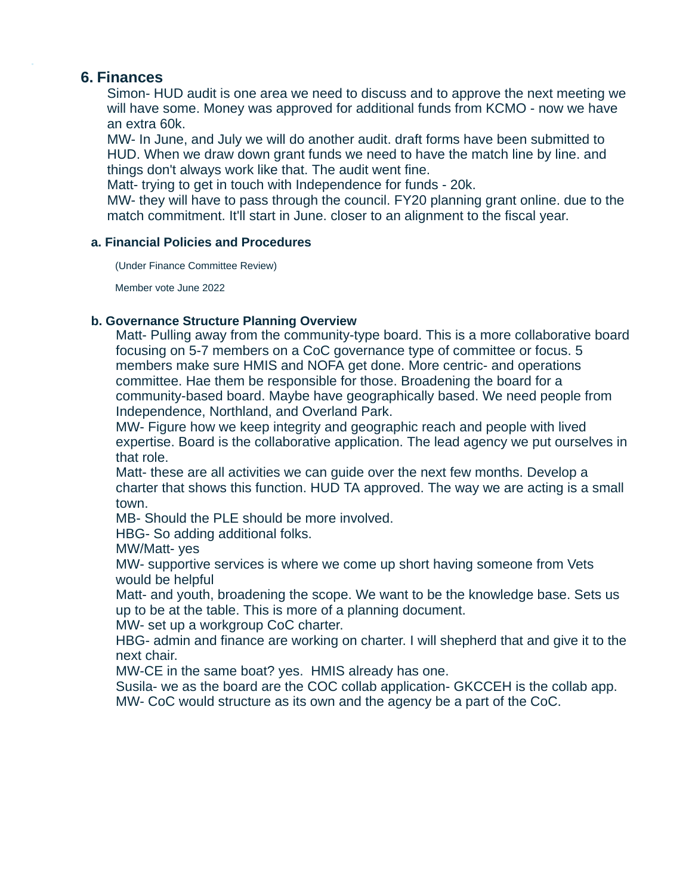## **6. Finances**

Simon- HUD audit is one area we need to discuss and to approve the next meeting we will have some. Money was approved for additional funds from KCMO - now we have an extra 60k.

MW- In June, and July we will do another audit. draft forms have been submitted to HUD. When we draw down grant funds we need to have the match line by line. and things don't always work like that. The audit went fine.

Matt- trying to get in touch with Independence for funds - 20k.

MW- they will have to pass through the council. FY20 planning grant online. due to the match commitment. It'll start in June. closer to an alignment to the fiscal year.

### **a. Financial Policies and Procedures**

(Under Finance Committee Review)

Member vote June 2022

### **b. Governance Structure Planning Overview**

Matt- Pulling away from the community-type board. This is a more collaborative board focusing on 5-7 members on a CoC governance type of committee or focus. 5 members make sure HMIS and NOFA get done. More centric- and operations committee. Hae them be responsible for those. Broadening the board for a community-based board. Maybe have geographically based. We need people from Independence, Northland, and Overland Park.

MW- Figure how we keep integrity and geographic reach and people with lived expertise. Board is the collaborative application. The lead agency we put ourselves in that role.

Matt- these are all activities we can guide over the next few months. Develop a charter that shows this function. HUD TA approved. The way we are acting is a small town.

MB- Should the PLE should be more involved.

HBG- So adding additional folks.

MW/Matt- yes

MW- supportive services is where we come up short having someone from Vets would be helpful

Matt- and youth, broadening the scope. We want to be the knowledge base. Sets us up to be at the table. This is more of a planning document.

MW- set up a workgroup CoC charter.

HBG- admin and finance are working on charter. I will shepherd that and give it to the next chair.

MW-CE in the same boat? yes. HMIS already has one.

Susila- we as the board are the COC collab application- GKCCEH is the collab app. MW- CoC would structure as its own and the agency be a part of the CoC.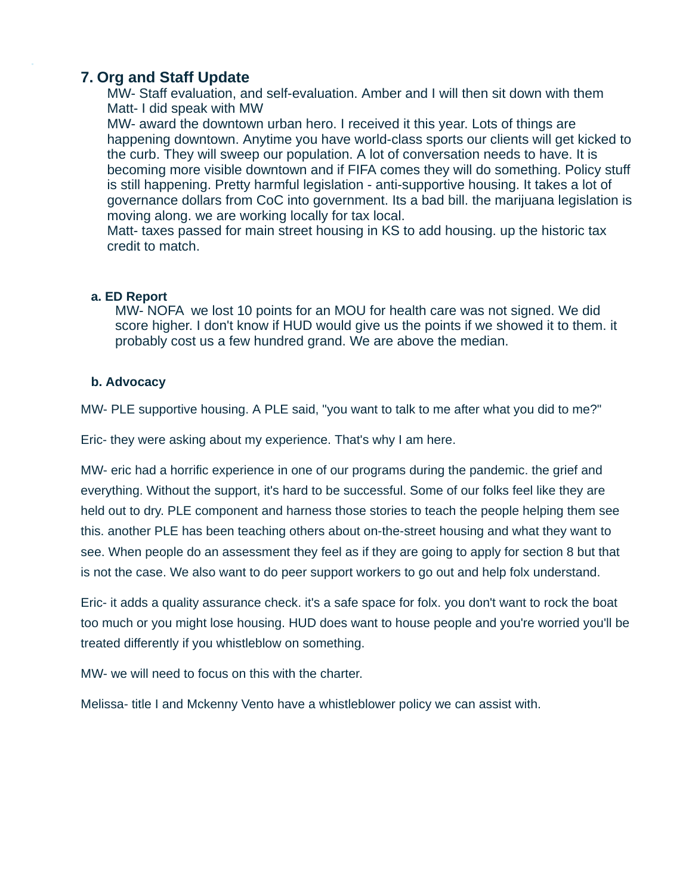# **7. Org and Staff Update**

MW- Staff evaluation, and self-evaluation. Amber and I will then sit down with them Matt- I did speak with MW

MW- award the downtown urban hero. I received it this year. Lots of things are happening downtown. Anytime you have world-class sports our clients will get kicked to the curb. They will sweep our population. A lot of conversation needs to have. It is becoming more visible downtown and if FIFA comes they will do something. Policy stuff is still happening. Pretty harmful legislation - anti-supportive housing. It takes a lot of governance dollars from CoC into government. Its a bad bill. the marijuana legislation is moving along. we are working locally for tax local.

Matt- taxes passed for main street housing in KS to add housing. up the historic tax credit to match.

## **a. ED Report**

MW- NOFA we lost 10 points for an MOU for health care was not signed. We did score higher. I don't know if HUD would give us the points if we showed it to them. it probably cost us a few hundred grand. We are above the median.

## **b. Advocacy**

MW- PLE supportive housing. A PLE said, "you want to talk to me after what you did to me?"

Eric- they were asking about my experience. That's why I am here.

MW- eric had a horrific experience in one of our programs during the pandemic. the grief and everything. Without the support, it's hard to be successful. Some of our folks feel like they are held out to dry. PLE component and harness those stories to teach the people helping them see this. another PLE has been teaching others about on-the-street housing and what they want to see. When people do an assessment they feel as if they are going to apply for section 8 but that is not the case. We also want to do peer support workers to go out and help folx understand.

Eric- it adds a quality assurance check. it's a safe space for folx. you don't want to rock the boat too much or you might lose housing. HUD does want to house people and you're worried you'll be treated differently if you whistleblow on something.

MW- we will need to focus on this with the charter.

Melissa- title I and Mckenny Vento have a whistleblower policy we can assist with.